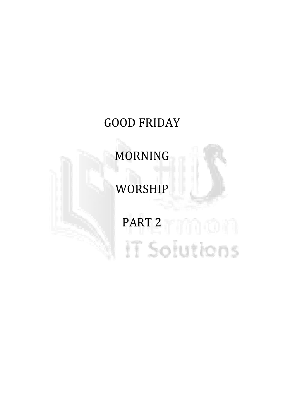# GOOD FRIDAY

# MORNING

# WORSHIP

# PART 2 | | | | | | | | | | **IT Solutions**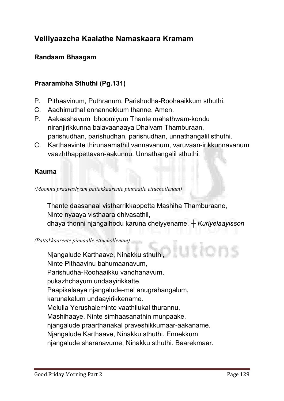# Velliyaazcha Kaalathe Namaskaara Kramam

# Randaam Bhaagam

# Praarambha Sthuthi (Pg.131)

- **P. Pithaavinum, Puthranum, Parishudha-Roohaaikkum sthuthi.**
- **C. Aadhimuthal ennannekkum thanne. Amen.**
- **P. Aakaashavum bhoomiyum Thante mahathwam-kondu niranjirikkunna balavaanaaya Dhaivam Thamburaan, parishudhan, parishudhan, parishudhan, unnathangalil sthuthi.**
- **C. Karthaavinte thirunaamathil vannavanum, varuvaan-irikkunnavanum vaazhthappettavan-aakunnu. Unnathangalil sthuthi.**

#### Kauma

*(Moonnu praavashyam pattakkaarente pinnaalle ettuchollenam)*

**Thante daasanaal vistharrikkappetta Mashiha Thamburaane, Ninte nyaaya visthaara dhivasathil, dhaya thonni njangalhodu karuna cheiyyename. ┼** *Kuriyelaayisson*

*(Pattakkaarente pinnaalle ettuchollenam)*

utions **Njangalude Karthaave, Ninakku sthuthi, Ninte Pithaavinu bahumaanavum, Parishudha-Roohaaikku vandhanavum, pukazhchayum undaayirikkatte. Paapikalaaya njangalude-mel anugrahangalum, karunakalum undaayirikkename. Melulla Yerushaleminte vaathilukal thurannu, Mashihaaye, Ninte simhaasanathin munpaake, njangalude praarthanakal praveshikkumaar-aakaname. Njangalude Karthaave, Ninakku sthuthi. Ennekkum njangalude sharanavume, Ninakku sthuthi. Baarekmaar.**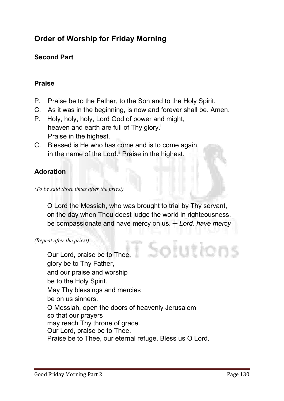# Order of Worship for Friday Morning

# Second Part

# Praise

- **P. Praise be to the Father, to the Son and to the Holy Spirit.**
- **C. As it was in the beginning, is now and forever shall be. Amen.**
- **P. Holy, holy, holy, Lord God of power and might, heaven and earth are full of Thy glory.i Praise in the highest.**
- **C. Blessed is He who has come and is to come again**  in the name of the Lord.<sup>ii</sup> Praise in the highest.

# Adoration

*(To be said three times after the priest)*

**O Lord the Messiah, who was brought to trial by Thy servant, on the day when Thou doest judge the world in righteousness, be compassionate and have mercy on us. ┼** *Lord, have mercy*

*(Repeat after the priest)*

Solutions **Our Lord, praise be to Thee, glory be to Thy Father, and our praise and worship be to the Holy Spirit. May Thy blessings and mercies be on us sinners. O Messiah, open the doors of heavenly Jerusalem so that our prayers may reach Thy throne of grace. Our Lord, praise be to Thee. Praise be to Thee, our eternal refuge. Bless us O Lord.**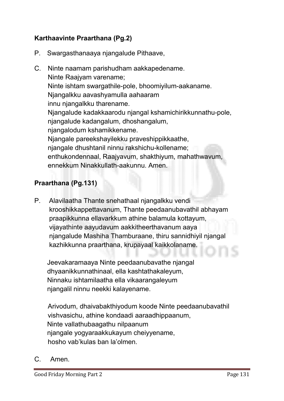# Karthaavinte Praarthana (Pg.2)

- **P. Swargasthanaaya njangalude Pithaave,**
- **C. Ninte naamam parishudham aakkapedename. Ninte Raajyam varename; Ninte ishtam swargathile-pole, bhoomiyilum-aakaname. Njangalkku aavashyamulla aahaaram innu njangalkku tharename. Njangalude kadakkaarodu njangal kshamichirikkunnathu-pole, njangalude kadangalum, dhoshangalum, njangalodum kshamikkename. Njangale pareekshayilekku praveshippikkaathe, njangale dhushtanil ninnu rakshichu-kollename; enthukondennaal, Raajyavum, shakthiyum, mahathwavum, ennekkum Ninakkullath-aakunnu. Amen.**

# Praarthana (Pg.131)

**P. Alavilaatha Thante snehathaal njangalkku vendi krooshikkappettavanum, Thante peedaanubavathil abhayam praapikkunna ellavarkkum athine balamula kottayum, vijayathinte aayudavum aakkitheerthavanum aaya njangalude Mashiha Thamburaane, thiru sannidhiyil njangal kazhikkunna praarthana, krupayaal kaikkolaname.**

**Jeevakaramaaya Ninte peedaanubavathe njangal dhyaanikkunnathinaal, ella kashtathakaleyum, Ninnaku ishtamilaatha ella vikaarangaleyum njangalil ninnu neekki kalayename.** 

**Arivodum, dhaivabakthiyodum koode Ninte peedaanubavathil vishvasichu, athine kondaadi aaraadhippaanum, Ninte vallathubaagathu nilpaanum njangale yogyaraakkukayum cheiyyename, hosho vab'kulas ban la'olmen.**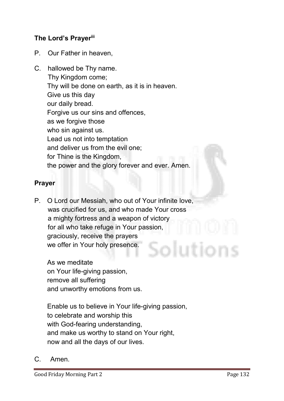# The Lord's Prayer<sup>iii</sup>

- **P. Our Father in heaven,**
- **C. hallowed be Thy name. Thy Kingdom come; Thy will be done on earth, as it is in heaven. Give us this day our daily bread. Forgive us our sins and offences, as we forgive those who sin against us. Lead us not into temptation and deliver us from the evil one; for Thine is the Kingdom, the power and the glory forever and ever. Amen.**

### Prayer

**P. O Lord our Messiah, who out of Your infinite love, was crucified for us, and who made Your cross a mighty fortress and a weapon of victory for all who take refuge in Your passion, graciously, receive the prayers we offer in Your holy presence.**

**As we meditate on Your life-giving passion, remove all suffering and unworthy emotions from us.**

**Enable us to believe in Your life-giving passion, to celebrate and worship this with God-fearing understanding, and make us worthy to stand on Your right, now and all the days of our lives.**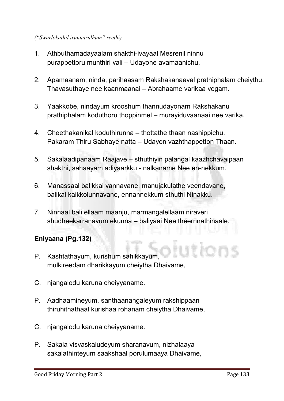#### *("Swarlokathil irunnarulhum" reethi)*

- **1. Athbuthamadayaalam shakthi-ivayaal Mesrenil ninnu purappettoru munthiri vali – Udayone avamaanichu.**
- **2. Apamaanam, ninda, parihaasam Rakshakanaaval prathiphalam cheiythu. Thavasuthaye nee kaanmaanai – Abrahaame varikaa vegam.**
- **3. Yaakkobe, nindayum krooshum thannudayonam Rakshakanu prathiphalam koduthoru thoppinmel – murayiduvaanaai nee varika.**
- **4. Cheethakanikal koduthirunna – thottathe thaan nashippichu. Pakaram Thiru Sabhaye natta – Udayon vazhthappetton Thaan.**
- **5. Sakalaadipanaam Raajave – sthuthiyin palangal kaazhchavaipaan shakthi, sahaayam adiyaarkku - nalkaname Nee en-nekkum.**
- **6. Manassaal balikkai vannavane, manujakulathe veendavane, balikal kaikkolunnavane, ennannekkum sthuthi Ninakku.**
- **7. Ninnaal bali ellaam maanju, marmangalellaam niraveri shudheekarranavum ekunna – baliyaai Nee theernnathinaale.**

# Eniyaana (Pg.132)

- **P. Kashtathayum, kurishum sahikkayum, mulkireedam dharikkayum cheiytha Dhaivame,**
- **C. njangalodu karuna cheiyyaname.**
- **P. Aadhaamineyum, santhaanangaleyum rakshippaan thiruhithathaal kurishaa rohanam cheiytha Dhaivame,**
- **C. njangalodu karuna cheiyyaname.**
- **P. Sakala visvaskaludeyum sharanavum, nizhalaaya sakalathinteyum saakshaal porulumaaya Dhaivame,**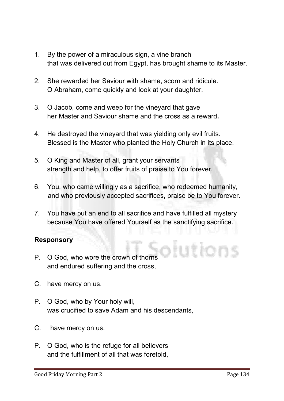- **1. By the power of a miraculous sign, a vine branch that was delivered out from Egypt, has brought shame to its Master.**
- **2. She rewarded her Saviour with shame, scorn and ridicule. O Abraham, come quickly and look at your daughter.**
- **3. O Jacob, come and weep for the vineyard that gave her Master and Saviour shame and the cross as a reward**.
- **4. He destroyed the vineyard that was yielding only evil fruits. Blessed is the Master who planted the Holy Church in its place.**
- **5. O King and Master of all, grant your servants strength and help, to offer fruits of praise to You forever.**
- **6. You, who came willingly as a sacrifice, who redeemed humanity, and who previously accepted sacrifices, praise be to You forever.**
- **7. You have put an end to all sacrifice and have fulfilled all mystery because You have offered Yourself as the sanctifying sacrifice.**

# Responsory

- **P. O God, who wore the crown of thorns and endured suffering and the cross,**
- **C. have mercy on us.**
- **P. O God, who by Your holy will, was crucified to save Adam and his descendants,**
- **C. have mercy on us.**
- **P. O God, who is the refuge for all believers and the fulfillment of all that was foretold,**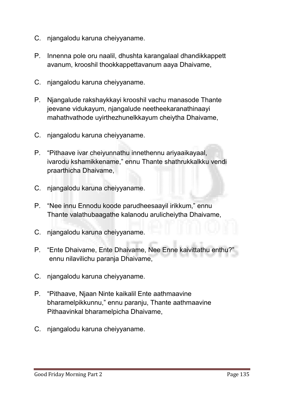- **C. njangalodu karuna cheiyyaname.**
- **P. Innenna pole oru naalil, dhushta karangalaal dhandikkappett avanum, krooshil thookkappettavanum aaya Dhaivame,**
- **C. njangalodu karuna cheiyyaname.**
- **P. Njangalude rakshaykkayi krooshil vachu manasode Thante jeevane vidukayum, njangalude neetheekaranathinaayi mahathvathode uyirthezhunelkkayum cheiytha Dhaivame,**
- **C. njangalodu karuna cheiyyaname.**
- **P. "Pithaave ivar cheiyunnathu innethennu ariyaaikayaal, ivarodu kshamikkename," ennu Thante shathrukkalkku vendi praarthicha Dhaivame,**
- **C. njangalodu karuna cheiyyaname.**
- **P. "Nee innu Ennodu koode parudheesaayil irikkum," ennu Thante valathubaagathe kalanodu arulicheiytha Dhaivame,**
- **C. njangalodu karuna cheiyyaname.**
- **P. "Ente Dhaivame, Ente Dhaivame, Nee Enne kaivittathu enthu?" ennu nilavilichu paranja Dhaivame,**
- **C. njangalodu karuna cheiyyaname.**
- **P. "Pithaave, Njaan Ninte kaikalil Ente aathmaavine bharamelpikkunnu," ennu paranju, Thante aathmaavine Pithaavinkal bharamelpicha Dhaivame,**
- **C. njangalodu karuna cheiyyaname.**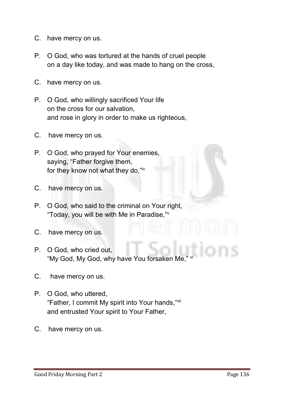- **C. have mercy on us.**
- **P. O God, who was tortured at the hands of cruel people on a day like today, and was made to hang on the cross,**
- **C. have mercy on us.**
- **P. O God, who willingly sacrificed Your life on the cross for our salvation, and rose in glory in order to make us righteous,**
- **C. have mercy on us.**
- **P. O God, who prayed for Your enemies, saying, "Father forgive them, for they know not what they do,"iv**
- **C. have mercy on us.**
- **P. O God, who said to the criminal on Your right, "Today, you will be with Me in Paradise,"v**
- **C. have mercy on us.**
- **P. O God, who cried out, "My God, My God, why have You forsaken Me," vi**
- **C. have mercy on us.**
- **P. O God, who uttered, "Father, I commit My spirit into Your hands,"vii and entrusted Your spirit to Your Father,**
- **C. have mercy on us.**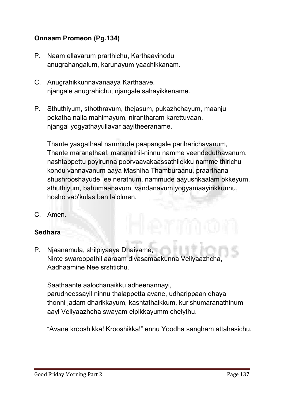# Onnaam Promeon (Pg.134)

- **P. Naam ellavarum prarthichu, Karthaavinodu anugrahangalum, karunayum yaachikkanam.**
- **C. Anugrahikkunnavanaaya Karthaave, njangale anugrahichu, njangale sahayikkename.**
- **P. Sthuthiyum, sthothravum, thejasum, pukazhchayum, maanju pokatha nalla mahimayum, nirantharam karettuvaan, njangal yogyathayullavar aayitheeraname.**

**Thante yaagathaal nammude paapangale pariharichavanum, Thante maranathaal, maranathil-ninnu namme veendeduthavanum, nashtappettu poyirunna poorvaavakaassathilekku namme thirichu kondu vannavanum aaya Mashiha Thamburaanu, praarthana shushrooshayude ee nerathum, nammude aayushkaalam okkeyum, sthuthiyum, bahumaanavum, vandanavum yogyamaayirikkunnu, hosho vab'kulas ban la'olmen.**

**C. Amen.**

#### Sedhara

**P. Njaanamula, shilpiyaaya Dhaivame, Ninte swaroopathil aaraam divasamaakunna Veliyaazhcha, Aadhaamine Nee srshtichu.** 

**Saathaante aalochanaikku adheenannayi, parudheessayil ninnu thalappetta avane, udharippaan dhaya thonni jadam dharikkayum, kashtathaikkum, kurishumaranathinum aayi Veliyaazhcha swayam elpikkayumm cheiythu.**

**"Avane krooshikka! Krooshikka!" ennu Yoodha sangham attahasichu.**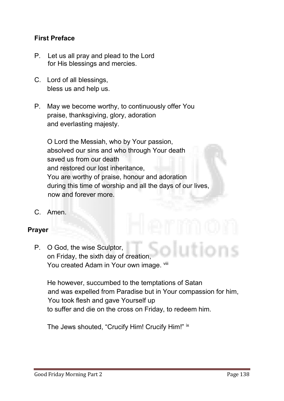## First Preface

- **P. Let us all pray and plead to the Lord for His blessings and mercies.**
- **C. Lord of all blessings, bless us and help us.**
- **P. May we become worthy, to continuously offer You praise, thanksgiving, glory, adoration and everlasting majesty.**

**O Lord the Messiah, who by Your passion, absolved our sins and who through Your death saved us from our death and restored our lost inheritance, You are worthy of praise, honour and adoration during this time of worship and all the days of our lives, now and forever more.**

**C. Amen.**

#### Prayer

**P. O God, the wise Sculptor, on Friday, the sixth day of creation,** You created Adam in Your own image. Vill

**He however, succumbed to the temptations of Satan and was expelled from Paradise but in Your compassion for him, You took flesh and gave Yourself up to suffer and die on the cross on Friday, to redeem him.** 

**The Jews shouted, "Crucify Him! Crucify Him!" ix**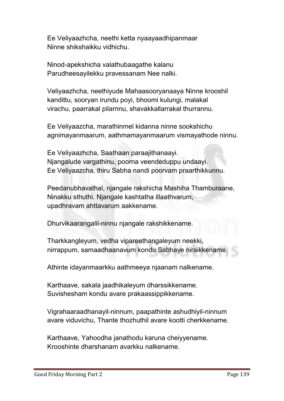**Ee Veliyaazhcha, neethi ketta nyaayaadhipanmaar Ninne shikshaikku vidhichu.** 

**Ninod-apekshicha valathubaagathe kalanu Parudheesayilekku pravessanam Nee nalki.**

**Veliyaazhcha, neethiyude Mahaasooryanaaya Ninne krooshil kandittu, sooryan irundu poyi, bhoomi kulungi, malakal virachu, paarrakal pilarnnu, shavakkallarrakal thurrannu.** 

**Ee Veliyaazcha, marathinmel kidanna ninne sookshichu agnimayanmaarum, aathmamayanmaarum vismayathode ninnu.**

**Ee Veliyaazhcha, Saathaan paraajithanaayi. Njangalude vargathinu, poorna veendeduppu undaayi. Ee Veliyaazcha, thiru Sabha nandi poorvam praarthikkunnu.**

**Peedanubhavathal, njangale rakshicha Mashiha Thamburaane, Ninakku sthuthi. Njangale kashtatha illaathvarum, upadhravam ahttavarum aakkename.**

**Dhurvikaarangalil-ninnu njangale rakshikkename.**

**Tharkkangleyum, vedha vipareethangaleyum neekki, nirrappum, samaadhaanavum kondu Sabhaye niraikkename.** 

**Athinte idayanmaarkku aathmeeya njaanam nalkename.** 

**Karthaave, sakala jaadhikaleyum dharssikkename. Suvishesham kondu avare prakaassippikkename.**

**Vigrahaaraadhanayil-ninnum, paapathinte ashudhiyil-ninnum avare viduvichu, Thante thozhuthil avare kootti cherkkename.** 

**Karthaave, Yahoodha janathodu karuna cheiyyename. Krooshinte dharshanam avarkku nalkename.**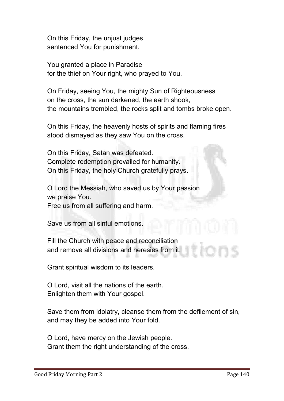**On this Friday, the unjust judges sentenced You for punishment.** 

**You granted a place in Paradise for the thief on Your right, who prayed to You.**

**On Friday, seeing You, the mighty Sun of Righteousness on the cross, the sun darkened, the earth shook, the mountains trembled, the rocks split and tombs broke open.** 

**On this Friday, the heavenly hosts of spirits and flaming fires stood dismayed as they saw You on the cross.**

**On this Friday, Satan was defeated. Complete redemption prevailed for humanity. On this Friday, the holy Church gratefully prays.**

**O Lord the Messiah, who saved us by Your passion we praise You. Free us from all suffering and harm.**

**Save us from all sinful emotions.**

**Fill the Church with peace and reconciliation and remove all divisions and heresies from it.** 

**Grant spiritual wisdom to its leaders.** 

**O Lord, visit all the nations of the earth. Enlighten them with Your gospel.** 

**Save them from idolatry, cleanse them from the defilement of sin, and may they be added into Your fold.** 

**O Lord, have mercy on the Jewish people. Grant them the right understanding of the cross.**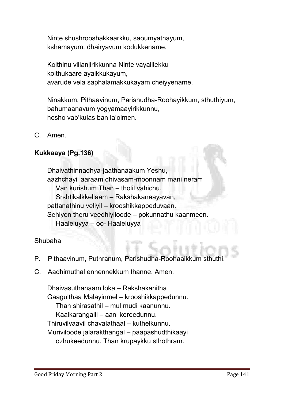**Ninte shushrooshakkaarkku, saoumyathayum, kshamayum, dhairyavum kodukkename.** 

**Koithinu villanjirikkunna Ninte vayalilekku koithukaare ayaikkukayum, avarude vela saphalamakkukayam cheiyyename.** 

**Ninakkum, Pithaavinum, Parishudha-Roohayikkum, sthuthiyum, bahumaanavum yogyamaayirikkunnu, hosho vab'kulas ban la'olmen.**

**C. Amen.**

# Kukkaaya (Pg.136)

**Dhaivathinnadhya-jaathanaakum Yeshu, aazhchayil aaraam dhivasam-moonnam mani neram Van kurishum Than – tholil vahichu. Srshtikalkkellaam – Rakshakanaayavan, pattanathinu veliyil – krooshikkappeduvaan. Sehiyon theru veedhiyiloode – pokunnathu kaanmeen. Haaleluyya – oo- Haaleluyya**

#### **Shubaha**

- **P. Pithaavinum, Puthranum, Parishudha-Roohaaikkum sthuthi.**
- **C. Aadhimuthal ennennekkum thanne. Amen.**

**Dhaivasuthanaam loka – Rakshakanitha Gaagulthaa Malayinmel – krooshikkappedunnu. Than shirasathil – mul mudi kaanunnu. Kaalkarangalil – aani kereedunnu. Thiruvilvaavil chavalathaal – kuthelkunnu. Muriviloode jalarakthangal – paapashudthikaayi ozhukeedunnu. Than krupaykku sthothram.**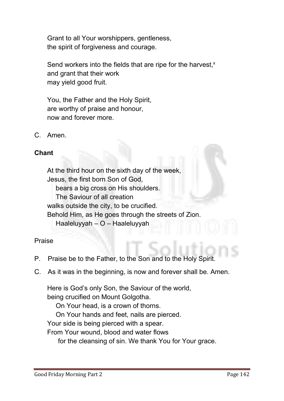**Grant to all Your worshippers, gentleness, the spirit of forgiveness and courage.** 

Send workers into the fields that are ripe for the harvest,<sup>x</sup> **and grant that their work may yield good fruit.** 

**You, the Father and the Holy Spirit, are worthy of praise and honour, now and forever more.**

**C. Amen.** 

# Chant

**At the third hour on the sixth day of the week, Jesus, the first born Son of God, bears a big cross on His shoulders. The Saviour of all creation walks outside the city, to be crucified. Behold Him, as He goes through the streets of Zion. Haaleluyyah – O – Haaleluyyah**

#### **Praise**

- **P. Praise be to the Father, to the Son and to the Holy Spirit.**
- **C. As it was in the beginning, is now and forever shall be. Amen.**

**Here is God's only Son, the Saviour of the world, being crucified on Mount Golgotha.**

**On Your head, is a crown of thorns.**

**On Your hands and feet, nails are pierced.**

**Your side is being pierced with a spear.**

**From Your wound, blood and water flows** 

**for the cleansing of sin. We thank You for Your grace.**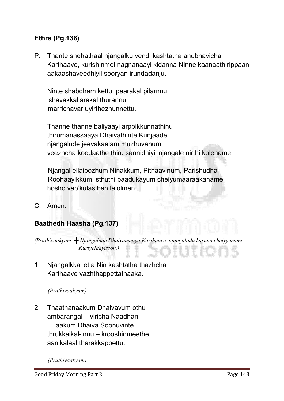# Ethra (Pg.136)

**P. Thante snehathaal njangalku vendi kashtatha anubhavicha Karthaave, kurishinmel nagnanaayi kidanna Ninne kaanaathirippaan aakaashaveedhiyil sooryan irundadanju.**

**Ninte shabdham kettu, paarakal pilarnnu, shavakkallarakal thurannu, marrichavar uyirthezhunnettu.**

**Thanne thanne baliyaayi arppikkunnathinu thirumanassaaya Dhaivathinte Kunjaade, njangalude jeevakaalam muzhuvanum, veezhcha koodaathe thiru sannidhiyil njangale nirthi kolename.** 

**Njangal ellaipozhum Ninakkum, Pithaavinum, Parishudha Roohaayikkum, sthuthi paadukayum cheiyumaaraakaname, hosho vab'kulas ban la'olmen.**

**C. Amen.**

#### Baathedh Haasha (Pg.137)

*(Prathivaakyam: ┼ Njangalude Dhaivamaaya Karthaave, njangalodu karuna cheiyyename. Kuriyelaayisson.)*

**1. Njangalkkai etta Nin kashtatha thazhcha Karthaave vazhthappettathaaka.**

*(Prathivaakyam)* 

**2. Thaathanaakum Dhaivavum othu ambarangal – viricha Naadhan aakum Dhaiva Soonuvinte thrukkaikal-innu – krooshinmeethe aanikalaal tharakkappettu.**

*(Prathivaakyam)*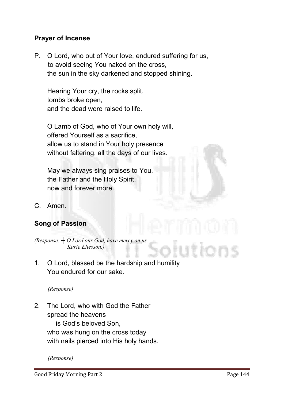#### Prayer of Incense

**P. O Lord, who out of Your love, endured suffering for us, to avoid seeing You naked on the cross, the sun in the sky darkened and stopped shining.**

**Hearing Your cry, the rocks split, tombs broke open, and the dead were raised to life.**

**O Lamb of God, who of Your own holy will, offered Yourself as a sacrifice, allow us to stand in Your holy presence without faltering, all the days of our lives.** 

**May we always sing praises to You, the Father and the Holy Spirit, now and forever more.**

**C. Amen.**

# Song of Passion

*(Response: ┼ O Lord our God, have mercy on us. Kurie Eliesson.)*

**1. O Lord, blessed be the hardship and humility You endured for our sake.** 

*(Response)*

**2. The Lord, who with God the Father spread the heavens**

> **is God's beloved Son, who was hung on the cross today with nails pierced into His holy hands.**

*(Response)*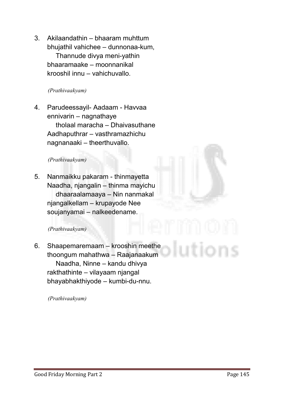**3. Akilaandathin – bhaaram muhttum bhujathil vahichee – dunnonaa-kum, Thannude divya meni-yathin bhaaramaake – moonnanikal krooshil innu – vahichuvallo.**

*(Prathivaakyam)* 

**4. Parudeessayil- Aadaam - Havvaa ennivarin – nagnathaye tholaal maracha – Dhaivasuthane Aadhaputhrar – vasthramazhichu nagnanaaki – theerthuvallo.**

#### *(Prathivaakyam)*

**5. Nanmaikku pakaram - thinmayetta Naadha, njangalin – thinma mayichu dhaaraalamaaya – Nin nanmakal njangalkellam – krupayode Nee soujanyamai – nalkeedename.**

*(Prathivaakyam)* 

**6. Shaapemaremaam – krooshin meethe thoongum mahathwa – Raajanaakum Naadha, Ninne – kandu dhivya rakthathinte – vilayaam njangal bhayabhakthiyode – kumbi-du-nnu.** 

*(Prathivaakyam)*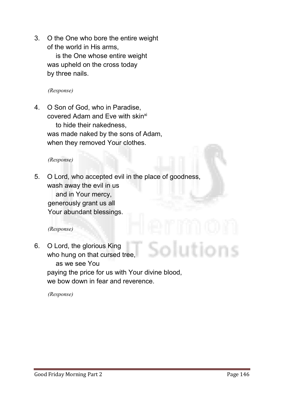**3. O the One who bore the entire weight of the world in His arms,**

**is the One whose entire weight was upheld on the cross today by three nails.**

*(Response)*

**4. O Son of God, who in Paradise, covered Adam and Eve with skinxi to hide their nakedness, was made naked by the sons of Adam, when they removed Your clothes.**

*(Response)*

**5. O Lord, who accepted evil in the place of goodness, wash away the evil in us and in Your mercy, generously grant us all Your abundant blessings.**

*(Response)*

**6. O Lord, the glorious King who hung on that cursed tree, as we see You paying the price for us with Your divine blood, we bow down in fear and reverence.**

*(Response)*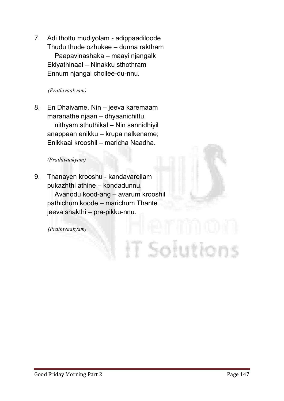**7. Adi thottu mudiyolam - adippaadiloode Thudu thude ozhukee – dunna raktham Paapavinashaka – maayi njangalk Ekiyathinaal – Ninakku sthothram Ennum njangal chollee-du-nnu.**

*(Prathivaakyam)*

**8. En Dhaivame, Nin – jeeva karemaam maranathe njaan – dhyaanichittu, nithyam sthuthikal – Nin sannidhiyil anappaan enikku – krupa nalkename; Enikkaai krooshil – maricha Naadha.**

#### *(Prathivaakyam)*

**9. Thanayen krooshu - kandavarellam pukazhthi athine – kondadunnu.**

> **Avanodu kood-ang – avarum krooshil pathichum koode – marichum Thante jeeva shakthi – pra-pikku-nnu.**

*(Prathivaakyam)*

IT Solutions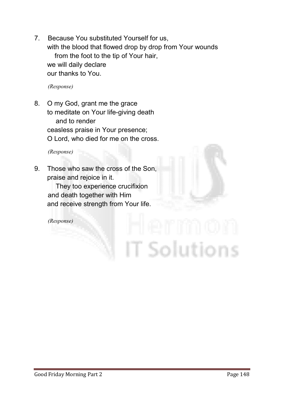**7. Because You substituted Yourself for us, with the blood that flowed drop by drop from Your wounds from the foot to the tip of Your hair, we will daily declare our thanks to You.**

*(Response)*

**8. O my God, grant me the grace to meditate on Your life-giving death and to render ceasless praise in Your presence; O Lord, who died for me on the cross.**

*(Response)*

**9. Those who saw the cross of the Son, praise and rejoice in it.**

> **They too experience crucifixion and death together with Him and receive strength from Your life.**

*(Response)*

T Solutions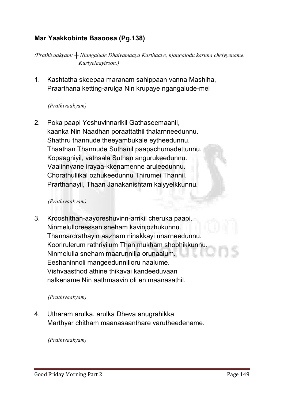# Mar Yaakkobinte Baaoosa (Pg.138)

*(Prathivaakyam: ┼ Njangalude Dhaivamaaya Karthaave, njangalodu karuna cheiyyename. Kuriyelaayisson.)*

**1. Kashtatha skeepaa maranam sahippaan vanna Mashiha, Praarthana ketting-arulga Nin krupaye ngangalude-mel**

#### *(Prathivaakyam)*

**2. Poka paapi Yeshuvinnarikil Gathaseemaanil, kaanka Nin Naadhan poraattathil thalarnneedunnu. Shathru thannude theeyambukale eytheedunnu. Thaathan Thannude Suthanil paapachumadettunnu. Kopaagniyil, vathsala Suthan angurukeedunnu. Vaalinnvane irayaa-kkenamenne aruleedunnu. Chorathullikal ozhukeedunnu Thirumei Thannil. Prarthanayil, Thaan Janakanishtam kaiyyelkkunnu.**

#### *(Prathivaakyam)*

**3. Krooshithan-aayoreshuvinn-arrikil cheruka paapi. Ninmelulloreessan sneham kavinjozhukunnu. Thannardrathayin aazham ninakkayi unarneedunnu. Koorirulerum rathriyilum Than mukham shobhikkunnu. Ninmelulla sneham maarunnilla orunaalum. Eeshaninnoli mangeedunnilloru naalume. Vishvaasthod athine thikavai kandeeduvaan nalkename Nin aathmaavin oli en maanasathil.**

#### *(Prathivaakyam)*

**4. Utharam arulka, arulka Dheva anugrahikka Marthyar chitham maanasaanthare varutheedename.**

#### *(Prathivaakyam)*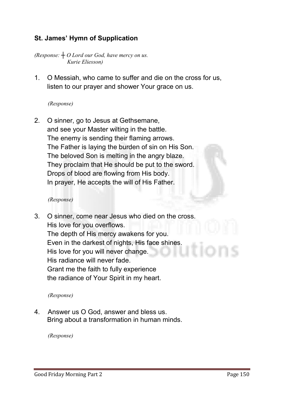# St. James' Hymn of Supplication

*(Response: ┼ O Lord our God, have mercy on us. Kurie Eliesson)*

**1. O Messiah, who came to suffer and die on the cross for us, listen to our prayer and shower Your grace on us.**

#### *(Response)*

**2. O sinner, go to Jesus at Gethsemane, and see your Master wilting in the battle. The enemy is sending their flaming arrows. The Father is laying the burden of sin on His Son. The beloved Son is melting in the angry blaze. They proclaim that He should be put to the sword. Drops of blood are flowing from His body. In prayer, He accepts the will of His Father.**

#### *(Response)*

**3. O sinner, come near Jesus who died on the cross. His love for you overflows. The depth of His mercy awakens for you. Even in the darkest of nights, His face shines. His love for you will never change. His radiance will never fade. Grant me the faith to fully experience the radiance of Your Spirit in my heart.**

#### *(Response)*

**4. Answer us O God, answer and bless us. Bring about a transformation in human minds.** 

*(Response)*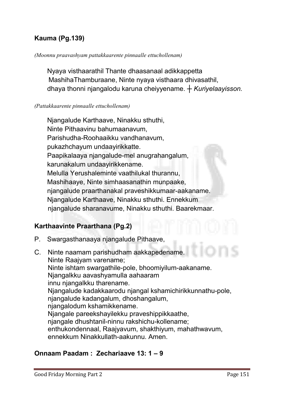# Kauma (Pg.139)

#### *(Moonnu praavashyam pattakkaarente pinnaalle ettuchollenam)*

**Nyaya visthaarathil Thante dhaasanaal adikkappetta MashihaThamburaane, Ninte nyaya visthaara dhivasathil, dhaya thonni njangalodu karuna cheiyyename.** *┼ Kuriyelaayisson.*

#### *(Pattakkaarente pinnaalle ettuchollenam)*

**Njangalude Karthaave, Ninakku sthuthi, Ninte Pithaavinu bahumaanavum, Parishudha-Roohaaikku vandhanavum, pukazhchayum undaayirikkatte. Paapikalaaya njangalude-mel anugrahangalum, karunakalum undaayirikkename. Melulla Yerushaleminte vaathilukal thurannu, Mashihaaye, Ninte simhaasanathin munpaake, njangalude praarthanakal praveshikkumaar-aakaname. Njangalude Karthaave, Ninakku sthuthi. Ennekkum njangalude sharanavume, Ninakku sthuthi. Baarekmaar.** 

#### Karthaavinte Praarthana (Pg.2)

- **P. Swargasthanaaya njangalude Pithaave,**
- **C. Ninte naamam parishudham aakkapedename. Ninte Raajyam varename; Ninte ishtam swargathile-pole, bhoomiyilum-aakaname. Njangalkku aavashyamulla aahaaram innu njangalkku tharename. Njangalude kadakkaarodu njangal kshamichirikkunnathu-pole, njangalude kadangalum, dhoshangalum, njangalodum kshamikkename. Njangale pareekshayilekku praveshippikkaathe, njangale dhushtanil-ninnu rakshichu-kollename; enthukondennaal, Raajyavum, shakthiyum, mahathwavum, ennekkum Ninakkullath-aakunnu. Amen.**

## Onnaam Paadam : Zechariaave 13: 1 – 9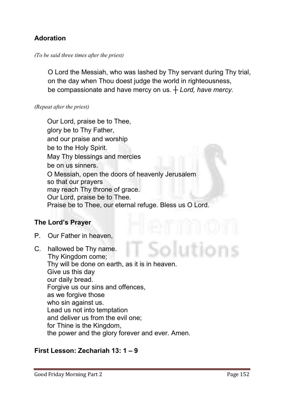# Adoration

#### *(To be said three times after the priest)*

**O Lord the Messiah, who was lashed by Thy servant during Thy trial, on the day when Thou doest judge the world in righteousness, be compassionate and have mercy on us. ┼** *Lord, have mercy.*

#### *(Repeat after the priest)*

**Our Lord, praise be to Thee, glory be to Thy Father, and our praise and worship be to the Holy Spirit. May Thy blessings and mercies be on us sinners. O Messiah, open the doors of heavenly Jerusalem so that our prayers may reach Thy throne of grace. Our Lord, praise be to Thee. Praise be to Thee, our eternal refuge. Bless us O Lord.**

#### The Lord's Prayer

- **P. Our Father in heaven,**
- **C. hallowed be Thy name. Thy Kingdom come; Thy will be done on earth, as it is in heaven. Give us this day our daily bread. Forgive us our sins and offences, as we forgive those who sin against us. Lead us not into temptation and deliver us from the evil one; for Thine is the Kingdom, the power and the glory forever and ever. Amen.**

#### First Lesson: Zechariah 13: 1 – 9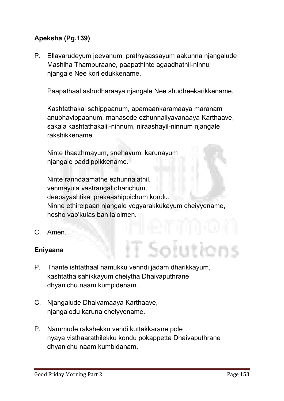# Apeksha (Pg.139)

**P. Ellavarudeyum jeevanum, prathyaassayum aakunna njangalude Mashiha Thamburaane, paapathinte agaadhathil-ninnu njangale Nee kori edukkename.** 

**Paapathaal ashudharaaya njangale Nee shudheekarikkename.** 

**Kashtathakal sahippaanum, apamaankaramaaya maranam anubhavippaanum, manasode ezhunnaliyavanaaya Karthaave, sakala kashtathakalil-ninnum, niraashayil-ninnum njangale rakshikkename.** 

**Ninte thaazhmayum, snehavum, karunayum njangale paddippikkename.** 

**Ninte ranndaamathe ezhunnalathil, venmayula vastrangal dharichum, deepayashtikal prakaashippichum kondu, Ninne ethirelpaan njangale yogyarakkukayum cheiyyename, hosho vab'kulas ban la'olmen.**

**C. Amen.**

#### Eniyaana

- **P. Thante ishtathaal namukku venndi jadam dharikkayum, kashtatha sahikkayum cheiytha Dhaivaputhrane dhyanichu naam kumpidenam.**
- **C. Njangalude Dhaivamaaya Karthaave, njangalodu karuna cheiyyename.**
- **P. Nammude rakshekku vendi kuttakkarane pole nyaya visthaarathilekku kondu pokappetta Dhaivaputhrane dhyanichu naam kumbidanam.**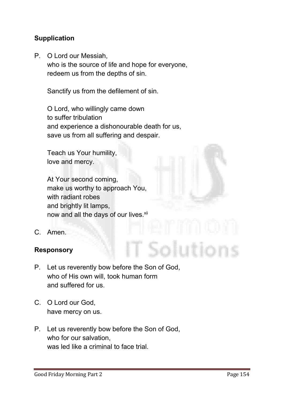# **Supplication**

**P. O Lord our Messiah, who is the source of life and hope for everyone, redeem us from the depths of sin.** 

**Sanctify us from the defilement of sin.** 

**O Lord, who willingly came down to suffer tribulation and experience a dishonourable death for us, save us from all suffering and despair.** 

**Teach us Your humility, love and mercy.**

**At Your second coming, make us worthy to approach You, with radiant robes and brightly lit lamps,** now and all the days of our lives.<sup>xii</sup>

**C. Amen.**

#### Responsory

- **P. Let us reverently bow before the Son of God, who of His own will, took human form and suffered for us.**
- **C. O Lord our God, have mercy on us.**
- **P. Let us reverently bow before the Son of God, who for our salvation, was led like a criminal to face trial.**

olutions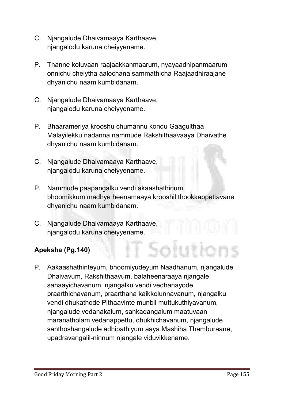- **C. Njangalude Dhaivamaaya Karthaave, njangalodu karuna cheiyyename.**
- **P. Thanne koluvaan raajaakkanmaarum, nyayaadhipanmaarum onnichu cheiytha aalochana sammathicha Raajaadhiraajane dhyanichu naam kumbidanam.**
- **C. Njangalude Dhaivamaaya Karthaave, njangalodu karuna cheiyyename.**
- **P. Bhaarameriya krooshu chumannu kondu Gaagulthaa Malayilekku nadanna nammude Rakshithaavaaya Dhaivathe dhyanichu naam kumbidanam.**
- **C. Njangalude Dhaivamaaya Karthaave, njangalodu karuna cheiyyename.**
- **P. Nammude paapangalku vendi akaashathinum bhoomikkum madhye heenamaaya krooshil thookkappettavane dhyanichu naam kumbidanam.**

Solutio

**C. Njangalude Dhaivamaaya Karthaave, njangalodu karuna cheiyyename.**

# Apeksha (Pg.140)

**P. Aakaashathinteyum, bhoomiyudeyum Naadhanum, njangalude Dhaivavum, Rakshithaavum, balaheenaraaya njangale sahaayichavanum, njangalku vendi vedhanayode praarthichavanum, praarthana kaikkolunnavanum, njangalku vendi dhukathode Pithaavinte munbil muttukuthiyavanum, njangalude vedanakalum, sankadangalum maatuvaan maranatholam vedanappettu, dhukhichavanum, njangalude santhoshangalude adhipathiyum aaya Mashiha Thamburaane, upadravangalil-ninnum njangale viduvikkename.**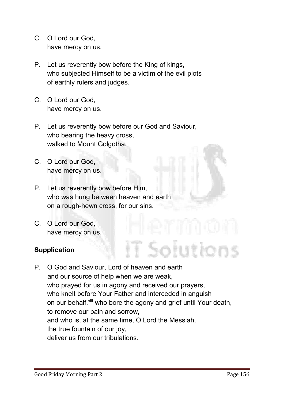- **C. O Lord our God, have mercy on us.**
- **P. Let us reverently bow before the King of kings, who subjected Himself to be a victim of the evil plots of earthly rulers and judges.**
- **C. O Lord our God, have mercy on us.**
- **P. Let us reverently bow before our God and Saviour, who bearing the heavy cross, walked to Mount Golgotha.**
- **C. O Lord our God, have mercy on us.**
- **P. Let us reverently bow before Him, who was hung between heaven and earth on a rough-hewn cross, for our sins.**
- **C. O Lord our God, have mercy on us.**

# **Supplication**

**P. O God and Saviour, Lord of heaven and earth and our source of help when we are weak, who prayed for us in agony and received our prayers, who knelt before Your Father and interceded in anguish on our behalf,xiii who bore the agony and grief until Your death, to remove our pain and sorrow, and who is, at the same time, O Lord the Messiah, the true fountain of our joy, deliver us from our tribulations.** 

Solution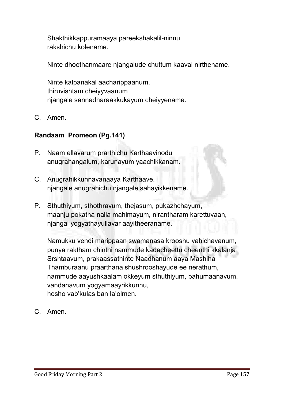**Shakthikkappuramaaya pareekshakalil-ninnu rakshichu kolename.** 

**Ninte dhoothanmaare njangalude chuttum kaaval nirthename.** 

**Ninte kalpanakal aacharippaanum, thiruvishtam cheiyyvaanum njangale sannadharaakkukayum cheiyyename.**

**C. Amen.**

# Randaam Promeon (Pg.141)

- **P. Naam ellavarum prarthichu Karthaavinodu anugrahangalum, karunayum yaachikkanam.**
- **C. Anugrahikkunnavanaaya Karthaave, njangale anugrahichu njangale sahayikkename.**
- **P. Sthuthiyum, sthothravum, thejasum, pukazhchayum, maanju pokatha nalla mahimayum, nirantharam karettuvaan, njangal yogyathayullavar aayitheeraname.**

**Namukku vendi marippaan swamanasa krooshu vahichavanum, punya raktham chinthi nammude kadacheettu cheenthi kkalanja Srshtaavum, prakaassathinte Naadhanum aaya Mashiha Thamburaanu praarthana shushrooshayude ee nerathum, nammude aayushkaalam okkeyum sthuthiyum, bahumaanavum, vandanavum yogyamaayrikkunnu, hosho vab'kulas ban la'olmen.**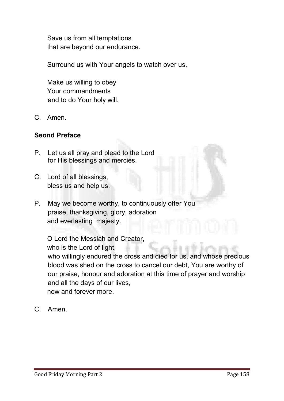**Save us from all temptations that are beyond our endurance.** 

**Surround us with Your angels to watch over us.**

**Make us willing to obey Your commandments and to do Your holy will.**

**C. Amen.** 

### Seond Preface

- **P. Let us all pray and plead to the Lord for His blessings and mercies.**
- **C. Lord of all blessings, bless us and help us.**
- **P. May we become worthy, to continuously offer You praise, thanksgiving, glory, adoration and everlasting majesty.**

**O Lord the Messiah and Creator, who is the Lord of light, who willingly endured the cross and died for us, and whose precious blood was shed on the cross to cancel our debt, You are worthy of our praise, honour and adoration at this time of prayer and worship and all the days of our lives, now and forever more.**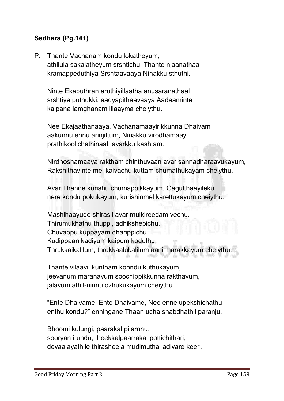# Sedhara (Pg.141)

**P. Thante Vachanam kondu lokatheyum, athilula sakalatheyum srshtichu, Thante njaanathaal kramappeduthiya Srshtaavaaya Ninakku sthuthi.** 

**Ninte Ekaputhran aruthiyillaatha anusaranathaal srshtiye puthukki, aadyapithaavaaya Aadaaminte kalpana lamghanam illaayma cheiythu.** 

**Nee Ekajaathanaaya, Vachanamaayirikkunna Dhaivam aakunnu ennu arinjittum, Ninakku virodhamaayi prathikoolichathinaal, avarkku kashtam.** 

**Nirdhoshamaaya raktham chinthuvaan avar sannadharaavukayum, Rakshithavinte mel kaivachu kuttam chumathukayam cheiythu.** 

**Avar Thanne kurishu chumappikkayum, Gagulthaayileku nere kondu pokukayum, kurishinmel karettukayum cheiythu.** 

**Mashihaayude shirasil avar mulkireedam vechu. Thirumukhathu thuppi, adhikshepichu. Chuvappu kuppayam dharippichu. Kudippaan kadiyum kaipum koduthu. Thrukkaikalilum, thrukkaalukalilum aani tharakkayum cheiythu.** 

**Thante vilaavil kuntham konndu kuthukayum, jeevanum maranavum soochippikkunna rakthavum, jalavum athil-ninnu ozhukukayum cheiythu.** 

**"Ente Dhaivame, Ente Dhaivame, Nee enne upekshichathu enthu kondu?" enningane Thaan ucha shabdhathil paranju.** 

**Bhoomi kulungi, paarakal pilarnnu, sooryan irundu, theekkalpaarrakal pottichithari, devaalayathile thirasheela mudimuthal adivare keeri.**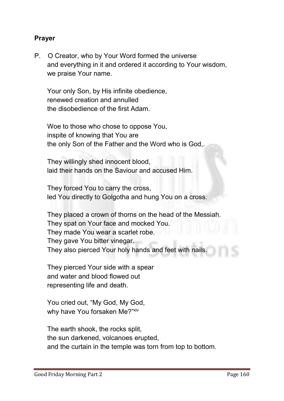#### Prayer

**P. O Creator, who by Your Word formed the universe and everything in it and ordered it according to Your wisdom, we praise Your name.** 

**Your only Son, by His infinite obedience, renewed creation and annulled the disobedience of the first Adam.**

**Woe to those who chose to oppose You, inspite of knowing that You are the only Son of the Father and the Word who is God,.** 

**They willingly shed innocent blood, laid their hands on the Saviour and accused Him.**

**They forced You to carry the cross, led You directly to Golgotha and hung You on a cross.** 

**They placed a crown of thorns on the head of the Messiah. They spat on Your face and mocked You. They made You wear a scarlet robe. They gave You bitter vinegar. They also pierced Your holy hands and feet with nails.** 

**They pierced Your side with a spear and water and blood flowed out representing life and death.**

**You cried out, "My God, My God, why have You forsaken Me?"xiv**

**The earth shook, the rocks split, the sun darkened, volcanoes erupted, and the curtain in the temple was torn from top to bottom.**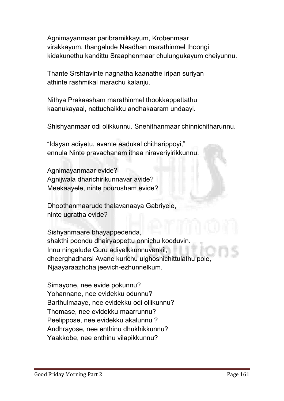**Agnimayanmaar paribramikkayum, Krobenmaar virakkayum, thangalude Naadhan marathinmel thoongi kidakunethu kandittu Sraaphenmaar chulungukayum cheiyunnu.**

**Thante Srshtavinte nagnatha kaanathe iripan suriyan athinte rashmikal marachu kalanju.** 

**Nithya Prakaasham marathinmel thookkappettathu kaanukayaal, nattuchaikku andhakaaram undaayi.** 

**Shishyanmaar odi olikkunnu. Snehithanmaar chinnichitharunnu.** 

**"Idayan adiyetu, avante aadukal chitharippoyi," ennula Ninte pravachanam ithaa niraveriyirikkunnu.**

**Agnimayanmaar evide? Agnijwala dharichirikunnavar avide? Meekaayele, ninte pourusham evide?** 

**Dhoothanmaarude thalavanaaya Gabriyele, ninte ugratha evide?** 

**Sishyanmaare bhayappedenda, shakthi poondu dhairyappettu onnichu kooduvin. Innu ningalude Guru adiyelkkunnuvenkil, dheerghadharsi Avane kurichu ulghoshichittulathu pole, Njaayaraazhcha jeevich-ezhunnelkum.** 

**Simayone, nee evide pokunnu? Yohannane, nee evidekku odunnu? Barthulmaaye, nee evidekku odi ollikunnu? Thomase, nee evidekku maarrunnu? Peelippose, nee evidekku akalunnu ? Andhrayose, nee enthinu dhukhikkunnu? Yaakkobe, nee enthinu vilapikkunnu?**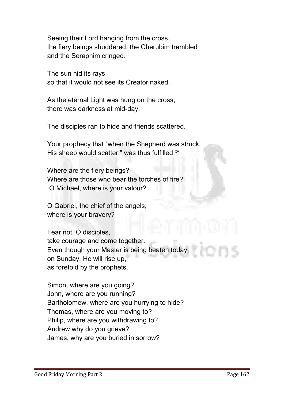**Seeing their Lord hanging from the cross, the fiery beings shuddered, the Cherubim trembled and the Seraphim cringed.** 

**The sun hid its rays so that it would not see its Creator naked.** 

**As the eternal Light was hung on the cross, there was darkness at mid-day.**

**The disciples ran to hide and friends scattered.** 

**Your prophecy that "when the Shepherd was struck,**  His sheep would scatter," was thus fulfilled.<sup>xv</sup>

**Where are the fiery beings? Where are those who bear the torches of fire? O Michael, where is your valour?** 

**O Gabriel, the chief of the angels, where is your bravery?** 

**Fear not, O disciples, take courage and come together. Even though your Master is being beaten today, on Sunday, He will rise up, as foretold by the prophets.** 

**Simon, where are you going? John, where are you running? Bartholomew, where are you hurrying to hide? Thomas, where are you moving to? Philip, where are you withdrawing to? Andrew why do you grieve? James, why are you buried in sorrow?**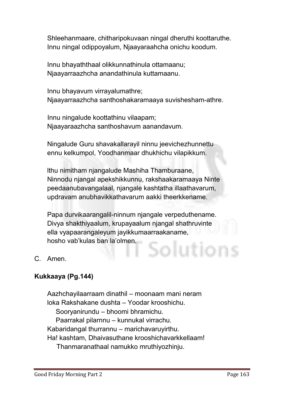**Shleehanmaare, chitharipokuvaan ningal dheruthi koottaruthe. Innu ningal odippoyalum, Njaayaraahcha onichu koodum.** 

**Innu bhayaththaal olikkunnathinula ottamaanu; Njaayarraazhcha anandathinula kuttamaanu.** 

**Innu bhayavum virrayalumathre; Njaayarraazhcha santhoshakaramaaya suvishesham-athre.** 

 **Innu ningalude koottathinu vilaapam; Njaayaraazhcha santhoshavum aanandavum.** 

**Ningalude Guru shavakallarayil ninnu jeevichezhunnettu ennu kelkumpol, Yoodhanmaar dhukhichu vilapikkum.**

**lthu nimitham njangalude Mashiha Thamburaane, Ninnodu njangal apekshikkunnu, rakshaakaramaaya Ninte peedaanubavangalaal, njangale kashtatha illaathavarum, updravam anubhavikkathavarum aakki theerkkename.**

**Papa durvikaarangalil-ninnum njangale verpeduthename. Divya shakthiyaalum, krupayaalum njangal shathruvinte ella vyapaarangaleyum jayikkumaarraakaname, hosho vab'kulas ban la'olmen.**  blution

**C. Amen.**

# Kukkaaya (Pg.144)

**Aazhchayilaarraam dinathil – moonaam mani neram loka Rakshakane dushta – Yoodar krooshichu. Sooryanirundu – bhoomi bhramichu. Paarrakal pilarnnu – kunnukal virrachu. Kabaridangal thurrannu – marichavaruyirthu. Ha! kashtam, Dhaivasuthane krooshichavarkkellaam! Thanmaranathaal namukko mruthiyozhinju.**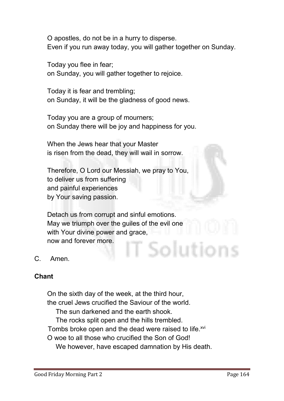**O apostles, do not be in a hurry to disperse. Even if you run away today, you will gather together on Sunday.**

**Today you flee in fear; on Sunday, you will gather together to rejoice.** 

**Today it is fear and trembling; on Sunday, it will be the gladness of good news.** 

**Today you are a group of mourners; on Sunday there will be joy and happiness for you.** 

**When the Jews hear that your Master is risen from the dead, they will wail in sorrow.**

**Therefore, O Lord our Messiah, we pray to You, to deliver us from suffering and painful experiences by Your saving passion.** 

**Detach us from corrupt and sinful emotions. May we triumph over the guiles of the evil one with Your divine power and grace, now and forever more.** solutior

**C. Amen.**

#### **Chant**

**On the sixth day of the week, at the third hour, the cruel Jews crucified the Saviour of the world. The sun darkened and the earth shook. The rocks split open and the hills trembled. Tombs broke open and the dead were raised to life.xvi O woe to all those who crucified the Son of God! We however, have escaped damnation by His death.**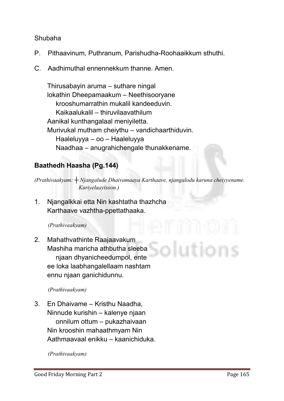#### **Shubaha**

- **P. Pithaavinum, Puthranum, Parishudha-Roohaaikkum sthuthi.**
- **C. Aadhimuthal ennennekkum thanne. Amen.**

**Thirusabayin aruma – suthare ningal lokathin Dheepamaakum – Neethisooryane krooshumarrathin mukalil kandeeduvin. Kaikaalukalil – thiruvilaavathilum Aanikal kunthangalaal meniyiletta. Murivukal mutham cheiythu – vandichaarthiduvin. Haaleluyya – oo – Haaleluyya Naadhaa – anugrahichengale thunakkename.**

# Baathedh Haasha (Pg.144)

*(Prathivaakyam: ┼ Njangalude Dhaivamaaya Karthaave, njangalodu karuna cheiyyename. Kuriyelaayisson.)*

**1. Njangalkkai etta Nin kashtatha thazhcha Karthaave vazhtha-ppettathaaka.**

#### *(Prathivaakyam)*

**2. Mahathvathinte Raajaavakum Mashiha maricha athbutha sleeba njaan dhyanicheedumpol, ente ee loka laabhangalellaam nashtam ennu njaan ganichidunnu.**

#### *(Prathivaakyam)*

**3. En Dhaivame – Kristhu Naadha, Ninnude kurishin – kalenye njaan onnilum ottum – pukazhaivaan Nin krooshin mahaathmyam Nin Aathmaavaal enikku – kaanichiduka.**

*(Prathivaakyam)*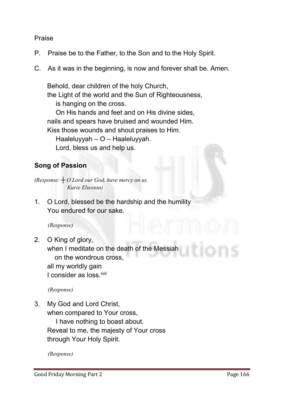#### **Praise**

- **P. Praise be to the Father, to the Son and to the Holy Spirit.**
- **C. As it was in the beginning, is now and forever shall be. Amen.**

**Behold, dear children of the holy Church, the Light of the world and the Sun of Righteousness, is hanging on the cross. On His hands and feet and on His divine sides, nails and spears have bruised and wounded Him. Kiss those wounds and shout praises to Him. Haaleluyyah – O – Haaleluyyah. Lord, bless us and help us.**

# Song of Passion

*(Response: ┼ O Lord our God, have mercy on us. Kurie Eliesson)*

**1. O Lord, blessed be the hardship and the humility You endured for our sake.** 

*(Response)*

**2. O King of glory,** 

**when I meditate on the death of the Messiah on the wondrous cross, all my worldly gain L** consider as loss  $^{xvii}$ 

*(Response)*

**3. My God and Lord Christ, when compared to Your cross,**

> **I have nothing to boast about. Reveal to me, the majesty of Your cross through Your Holy Spirit.**

*(Response)*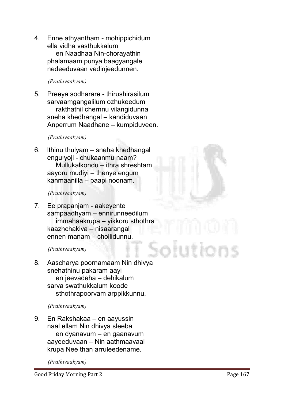**4. Enne athyantham - mohippichidum ella vidha vasthukkalum en Naadhaa Nin-chorayathin phalamaam punya baagyangale nedeeduvaan vedinjeedunnen.**

#### *(Prathivaakyam)*

**5. Preeya sodharare - thirushirasilum sarvaamgangalilum ozhukeedum rakthathil chernnu vilangidunna sneha khedhangal – kandiduvaan Anperrum Naadhane – kumpiduveen.**

#### *(Prathivaakyam)*

**6. lthinu thulyam – sneha khedhangal engu yoji - chukaanmu naam? Mullukalkondu – ithra shreshtam aayoru mudiyi – thenye engum kanmaanilla – paapi noonam.**

#### *(Prathivaakyam)*

**7. Ee prapanjam - aakeyente sampaadhyam – ennirunneedilum immahaakrupa – yikkoru sthothra kaazhchakiva – nisaarangal ennen manam – chollidunnu.**

#### *(Prathivaakyam)*

**8. Aascharya poornamaam Nin dhivya snehathinu pakaram aayi en jeevadeha – dehikalum sarva swathukkalum koode sthothrapoorvam arppikkunnu.**

#### *(Prathivaakyam)*

**9. En Rakshakaa – en aayussin naal ellam Nin dhivya sleeba en dyanavum – en gaanavum aayeeduvaan – Nin aathmaavaal krupa Nee than arruleedename.**

*(Prathivaakyam)*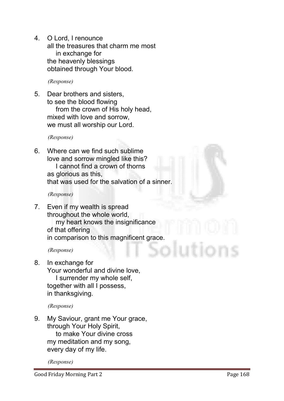**4. O Lord, I renounce all the treasures that charm me most in exchange for the heavenly blessings obtained through Your blood.**

*(Response)*

**5. Dear brothers and sisters, to see the blood flowing from the crown of His holy head, mixed with love and sorrow, we must all worship our Lord.**

*(Response)* 

**6. Where can we find such sublime love and sorrow mingled like this? I cannot find a crown of thorns as glorious as this, that was used for the salvation of a sinner.**

*(Response)*

**7. Even if my wealth is spread throughout the whole world, my heart knows the insignificance of that offering in comparison to this magnificent grace.**

*(Response)*

**8. In exchange for Your wonderful and divine love, I surrender my whole self, together with all I possess, in thanksgiving.**

*(Response)*

**9. My Saviour, grant me Your grace, through Your Holy Spirit, to make Your divine cross my meditation and my song, every day of my life.**

*(Response)*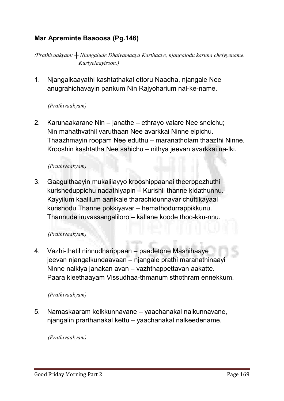# Mar Apreminte Baaoosa (Pg.146)

*(Prathivaakyam: ┼ Njangalude Dhaivamaaya Karthaave, njangalodu karuna cheiyyename. Kuriyelaayisson.)*

**1. Njangalkaayathi kashtathakal ettoru Naadha, njangale Nee anugrahichavayin pankum Nin Rajyoharium nal-ke-name.**

#### *(Prathivaakyam)*

**2. Karunaakarane Nin – janathe – ethrayo valare Nee sneichu; Nin mahathvathil varuthaan Nee avarkkai Ninne elpichu. Thaazhmayin roopam Nee eduthu – maranatholam thaazthi Ninne. Krooshin kashtatha Nee sahichu – nithya jeevan avarkkai na-lki.**

#### *(Prathivaakyam)*

**3. Gaagulthaayin mukalilayyo krooshippaanai theerppezhuthi kurisheduppichu nadathiyapin – Kurishil thanne kidathunnu. Kayyilum kaalilum aanikale tharachidunnavar chuttikayaal kurishodu Thanne pokkiyavar – hemathodurrappikkunu. Thannude iruvassangaliloro – kallane koode thoo-kku-nnu.**

#### *(Prathivaakyam)*

**4. Vazhi-thetil ninnudharippaan – paadetone Mashihaaye jeevan njangalkundaavaan – njangale prathi maranathinaayi Ninne nalkiya janakan avan – vazhthappettavan aakatte. Paara kleethaayam Vissudhaa-thmanum sthothram ennekkum.**

#### *(Prathivaakyam)*

**5. Namaskaaram kelkkunnavane – yaachanakal nalkunnavane, njangalin prarthanakal kettu – yaachanakal nalkeedename.**

#### *(Prathivaakyam)*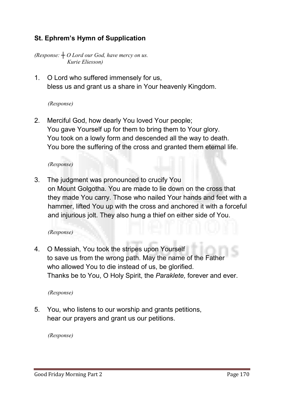# St. Ephrem's Hymn of Supplication

*(Response: ┼ O Lord our God, have mercy on us. Kurie Eliesson)*

**1. O Lord who suffered immensely for us, bless us and grant us a share in Your heavenly Kingdom.**

#### *(Response)*

**2. Merciful God, how dearly You loved Your people; You gave Yourself up for them to bring them to Your glory. You took on a lowly form and descended all the way to death. You bore the suffering of the cross and granted them eternal life.**

#### *(Response)*

**3. The judgment was pronounced to crucify You on Mount Golgotha. You are made to lie down on the cross that they made You carry. Those who nailed Your hands and feet with a hammer, lifted You up with the cross and anchored it with a forceful and injurious jolt. They also hung a thief on either side of You.**

#### *(Response)*

**4. O Messiah, You took the stripes upon Yourself to save us from the wrong path. May the name of the Father who allowed You to die instead of us, be glorified. Thanks be to You, O Holy Spirit, the** *Paraklete,* **forever and ever.**

#### *(Response)*

**5. You, who listens to our worship and grants petitions, hear our prayers and grant us our petitions.**

*(Response)*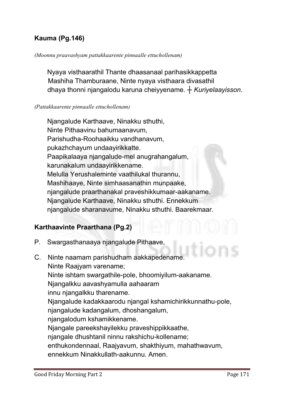# Kauma (Pg.146)

#### *(Moonnu praavashyam pattakkaarente pinnaalle ettuchollenam)*

**Nyaya visthaarathil Thante dhaasanaal parihasikkappetta Mashiha Thamburaane, Ninte nyaya visthaara divasathil dhaya thonni njangalodu karuna cheiyyename.** *┼ Kuriyelaayisson.*

#### *(Pattakkaarente pinnaalle ettuchollenam)*

**Njangalude Karthaave, Ninakku sthuthi, Ninte Pithaavinu bahumaanavum, Parishudha-Roohaaikku vandhanavum, pukazhchayum undaayirikkatte. Paapikalaaya njangalude-mel anugrahangalum, karunakalum undaayirikkename. Melulla Yerushaleminte vaathilukal thurannu, Mashihaaye, Ninte simhaasanathin munpaake, njangalude praarthanakal praveshikkumaar-aakaname. Njangalude Karthaave, Ninakku sthuthi. Ennekkum njangalude sharanavume, Ninakku sthuthi. Baarekmaar.** 

#### Karthaavinte Praarthana (Pg.2)

- **P. Swargasthanaaya njangalude Pithaave,**
- **C. Ninte naamam parishudham aakkapedename. Ninte Raajyam varename; Ninte ishtam swargathile-pole, bhoomiyilum-aakaname. Njangalkku aavashyamulla aahaaram innu njangalkku tharename. Njangalude kadakkaarodu njangal kshamichirikkunnathu-pole, njangalude kadangalum, dhoshangalum, njangalodum kshamikkename. Njangale pareekshayilekku praveshippikkaathe, njangale dhushtanil ninnu rakshichu-kollename; enthukondennaal, Raajyavum, shakthiyum, mahathwavum, ennekkum Ninakkullath-aakunnu. Amen.**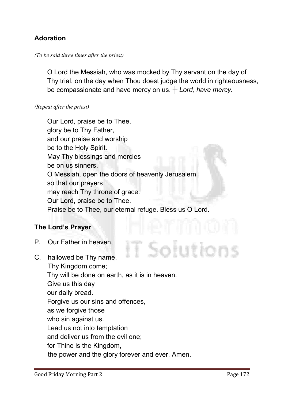# Adoration

#### *(To be said three times after the priest)*

**O Lord the Messiah, who was mocked by Thy servant on the day of Thy trial, on the day when Thou doest judge the world in righteousness, be compassionate and have mercy on us. ┼** *Lord, have mercy.*

#### *(Repeat after the priest)*

**Our Lord, praise be to Thee, glory be to Thy Father, and our praise and worship be to the Holy Spirit. May Thy blessings and mercies be on us sinners. O Messiah, open the doors of heavenly Jerusalem so that our prayers may reach Thy throne of grace. Our Lord, praise be to Thee. Praise be to Thee, our eternal refuge. Bless us O Lord.**

#### The Lord's Prayer

- **P. Our Father in heaven,**
- Solutions **C. hallowed be Thy name. Thy Kingdom come; Thy will be done on earth, as it is in heaven. Give us this day our daily bread. Forgive us our sins and offences, as we forgive those who sin against us. Lead us not into temptation and deliver us from the evil one; for Thine is the Kingdom, the power and the glory forever and ever. Amen.**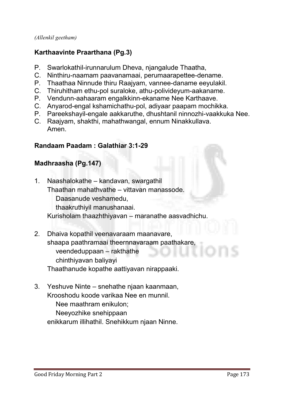*(Allenkil geetham)*

# Karthaavinte Praarthana (Pg.3)

- **P. Swarlokathil-irunnarulum Dheva, njangalude Thaatha,**
- **C. Ninthiru-naamam paavanamaai, perumaarapettee-dename.**
- **P. Thaathaa Ninnude thiru Raajyam, vannee-daname eeyulakil.**
- **C. Thiruhitham ethu-pol suraloke, athu-polivideyum-aakaname.**
- **P. Vendunn-aahaaram engalkkinn-ekaname Nee Karthaave.**
- **C. Anyarod-engal kshamichathu-pol, adiyaar paapam mochikka.**
- **P. Pareekshayil-engale aakkaruthe, dhushtanil ninnozhi-vaakkuka Nee.**
- **C. Raajyam, shakthi, mahathwangal, ennum Ninakkullava. Amen.**

#### Randaam Paadam : Galathiar 3:1-29

# Madhraasha (Pg.147)

- **1. Naashalokathe – kandavan, swargathil Thaathan mahathvathe – vittavan manassode. Daasanude veshamedu, thaakruthiyil manushanaai. Kurisholam thaazhthiyavan – maranathe aasvadhichu.**
- **2. Dhaiva kopathil veenavaraam maanavare, shaapa paathramaai theernnavaraam paathakare, veendeduppaan – rakthathe chinthiyavan baliyayi Thaathanude kopathe aattiyavan nirappaaki.**
- **3. Yeshuve Ninte – snehathe njaan kaanmaan, Krooshodu koode varikaa Nee en munnil. Nee maathram enikulon; Neeyozhike snehippaan enikkarum illihathil. Snehikkum njaan Ninne.**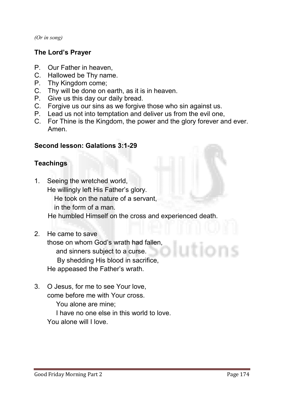*(Or in song)*

# The Lord's Prayer

- **P. Our Father in heaven,**
- **C. Hallowed be Thy name.**
- **P. Thy Kingdom come;**
- **C. Thy will be done on earth, as it is in heaven.**
- **P. Give us this day our daily bread.**
- **C. Forgive us our sins as we forgive those who sin against us.**
- **P. Lead us not into temptation and deliver us from the evil one,**
- **C. For Thine is the Kingdom, the power and the glory forever and ever. Amen.**

#### Second lesson: Galations 3:1-29

# Teachings

- **1. Seeing the wretched world, He willingly left His Father's glory. He took on the nature of a servant, in the form of a man. He humbled Himself on the cross and experienced death.**
- **2. He came to save**

**those on whom God's wrath had fallen, and sinners subject to a curse. By shedding His blood in sacrifice, He appeased the Father's wrath.**

**3. O Jesus, for me to see Your love, come before me with Your cross. You alone are mine; I have no one else in this world to love. You alone will I love.**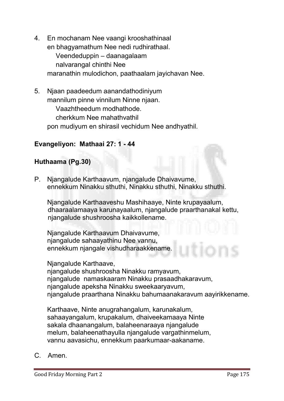- **4. En mochanam Nee vaangi krooshathinaal en bhagyamathum Nee nedi rudhirathaal. Veendeduppin – daanagalaam nalvarangal chinthi Nee maranathin mulodichon, paathaalam jayichavan Nee.**
- **5. Njaan paadeedum aanandathodiniyum mannilum pinne vinnilum Ninne njaan. Vaazhtheedum modhathode. cherkkum Nee mahathvathil pon mudiyum en shirasil vechidum Nee andhyathil.**

## Evangeliyon: Mathaai 27: 1 - 44

# Huthaama (Pg.30)

**P. Njangalude Karthaavum, njangalude Dhaivavume, ennekkum Ninakku sthuthi, Ninakku sthuthi, Ninakku sthuthi.**

**Njangalude Karthaaveshu Mashihaaye, Ninte krupayaalum, dhaaraalamaaya karunayaalum, njangalude praarthanakal kettu, njangalude shushroosha kaikkollename.**

**Njangalude Karthaavum Dhaivavume, njangalude sahaayathinu Nee vannu, ennekkum njangale vishudharaakkename.** 

**Njangalude Karthaave, njangalude shushroosha Ninakku ramyavum, njangalude namaskaaram Ninakku prasaadhakaravum, njangalude apeksha Ninakku sweekaaryavum, njangalude praarthana Ninakku bahumaanakaravum aayirikkename.** 

**Karthaave, Ninte anugrahangalum, karunakalum, sahaayangalum, krupakalum, dhaiveekamaaya Ninte sakala dhaanangalum, balaheenaraaya njangalude melum, balaheenathayulla njangalude vargathinmelum, vannu aavasichu, ennekkum paarkumaar-aakaname.**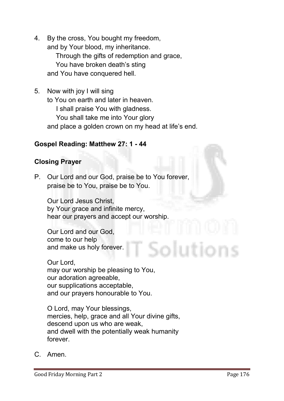- **4. By the cross, You bought my freedom, and by Your blood, my inheritance. Through the gifts of redemption and grace, You have broken death's sting and You have conquered hell.**
- **5. Now with joy I will sing to You on earth and later in heaven. I shall praise You with gladness. You shall take me into Your glory and place a golden crown on my head at life's end.**

#### Gospel Reading: Matthew 27: 1 - 44

#### Closing Prayer

**P. Our Lord and our God, praise be to You forever, praise be to You, praise be to You.**

**Our Lord Jesus Christ, by Your grace and infinite mercy, hear our prayers and accept our worship.** 

**Our Lord and our God, come to our help and make us holy forever.** 

**Our Lord, may our worship be pleasing to You, our adoration agreeable, our supplications acceptable, and our prayers honourable to You.** 

**O Lord, may Your blessings, mercies, help, grace and all Your divine gifts, descend upon us who are weak, and dwell with the potentially weak humanity forever.**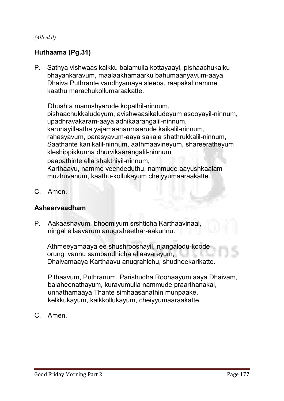#### *(Allenkil)*

# Huthaama (Pg.31)

**P. Sathya vishwaasikalkku balamulla kottayaayi, pishaachukalku bhayankaravum, maalaakhamaarku bahumaanyavum-aaya Dhaiva Puthrante vandhyamaya sleeba, raapakal namme kaathu marachukollumaraakatte.** 

**Dhushta manushyarude kopathil-ninnum, pishaachukkaludeyum, avishwaasikaludeyum asooyayil-ninnum, upadhravakaram-aaya adhikaarangalil-ninnum, karunayillaatha yajamaananmaarude kaikalil-ninnum, rahasyavum, parasyavum-aaya sakala shathrukkalil-ninnum, Saathante kanikalil-ninnum, aathmaavineyum, shareeratheyum kleshippikkunna dhurvikaarangalil-ninnum, paapathinte ella shakthiyil-ninnum, Karthaavu, namme veendeduthu, nammude aayushkaalam muzhuvanum, kaathu-kollukayum cheiyyumaaraakatte.**

**C. Amen.**

#### Asheervaadham

**P. Aakaashavum, bhoomiyum srshticha Karthaavinaal, ningal ellaavarum anugraheethar-aakunnu.**

**Athmeeyamaaya ee shushrooshayil, njangalodu-koode orungi vannu sambandhicha ellaavareyum, Dhaivamaaya Karthaavu anugrahichu, shudheekarikatte.**

**Pithaavum, Puthranum, Parishudha Roohaayum aaya Dhaivam, balaheenathayum, kuravumulla nammude praarthanakal, unnathamaaya Thante simhaasanathin munpaake, kelkkukayum, kaikkollukayum, cheiyyumaaraakatte.**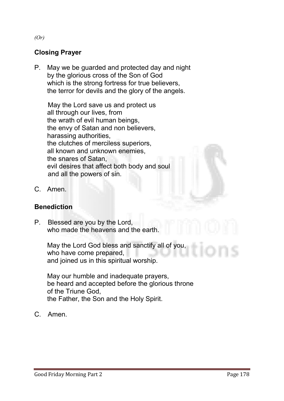# Closing Prayer

**P. May we be guarded and protected day and night by the glorious cross of the Son of God which is the strong fortress for true believers, the terror for devils and the glory of the angels.** 

**May the Lord save us and protect us all through our lives, from the wrath of evil human beings, the envy of Satan and non believers, harassing authorities, the clutches of merciless superiors, all known and unknown enemies, the snares of Satan, evil desires that affect both body and soul and all the powers of sin.**

**C. Amen.**

#### **Benediction**

**P. Blessed are you by the Lord, who made the heavens and the earth.** 

> **May the Lord God bless and sanctify all of you, who have come prepared, and joined us in this spiritual worship.**

**May our humble and inadequate prayers, be heard and accepted before the glorious throne of the Triune God, the Father, the Son and the Holy Spirit.**

**C. Amen.**

*(Or)*